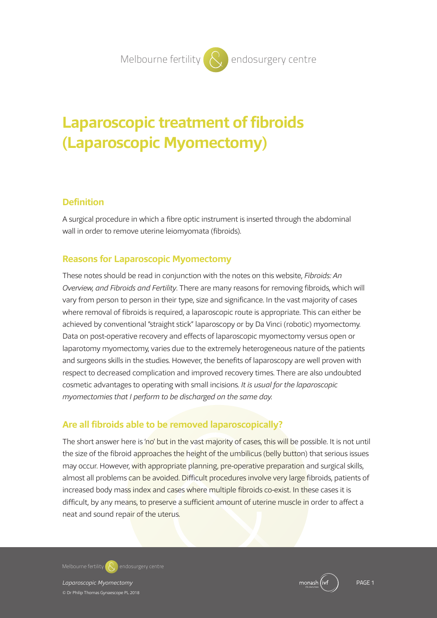# **Laparoscopic treatment of fibroids (Laparoscopic Myomectomy)**

## **Definition**

A surgical procedure in which a fibre optic instrument is inserted through the abdominal wall in order to remove uterine leiomyomata (fibroids).

# **Reasons for Laparoscopic Myomectomy**

These notes should be read in conjunction with the notes on this website, *Fibroids: An Overview, and Fibroids and Fertility*. There are many reasons for removing fibroids, which will vary from person to person in their type, size and significance. In the vast majority of cases where removal of fibroids is required, a laparoscopic route is appropriate. This can either be achieved by conventional "straight stick" laparoscopy or by Da Vinci (robotic) myomectomy. Data on post-operative recovery and effects of laparoscopic myomectomy versus open or laparotomy myomectomy, varies due to the extremely heterogeneous nature of the patients and surgeons skills in the studies. However, the benefits of laparoscopy are well proven with respect to decreased complication and improved recovery times. There are also undoubted cosmetic advantages to operating with small incisions. *It is usual for the laparoscopic myomectomies that I perform to be discharged on the same day.*

# **Are all fibroids able to be removed laparoscopically?**

The short answer here is 'no' but in the vast majority of cases, this will be possible. It is not until the size of the fibroid approaches the height of the umbilicus (belly button) that serious issues may occur. However, with appropriate planning, pre-operative preparation and surgical skills, almost all problems can be avoided. Difficult procedures involve very large fibroids, patients of increased body mass index and cases where multiple fibroids co-exist. In these cases it is difficult, by any means, to preserve a sufficient amount of uterine muscle in order to affect a neat and sound repair of the uterus.

**Melbourne fertility endosurgery centre**

*Laparoscopic Myomectomy* PAGE 1 © Dr Philip Thomas Gynaescope PL 2018

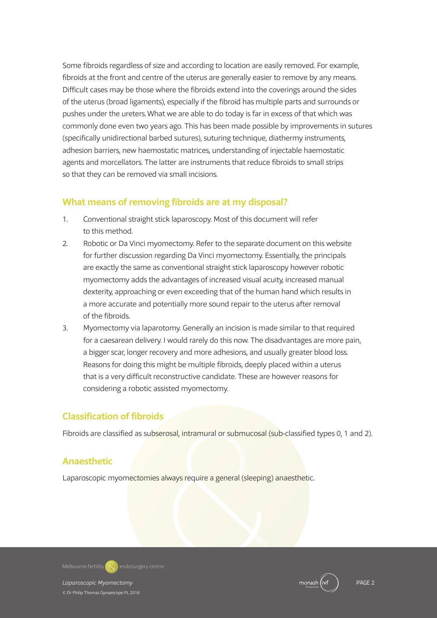Some fibroids regardless of size and according to location are easily removed. For example, fibroids at the front and centre of the uterus are generally easier to remove by any means. Difficult cases may be those where the fibroids extend into the coverings around the sides of the uterus (broad ligaments), especially if the fibroid has multiple parts and surrounds or pushes under the ureters.What we are able to do today is far in excess of that which was commonly done even two years ago. This has been made possible by improvements in sutures (specifically unidirectional barbed sutures), suturing technique, diathermy instruments, adhesion barriers, new haemostatic matrices, understanding of injectable haemostatic agents and morcellators. The latter are instruments that reduce fibroids to small strips so that they can be removed via small incisions.

## **What means of removing fibroids are at my disposal?**

- 1. Conventional straight stick laparoscopy. Most of this document will refer to this method.
- 2. Robotic or Da Vinci myomectomy. Refer to the separate document on this website for further discussion regarding Da Vinci myomectomy. Essentially, the principals are exactly the same as conventional straight stick laparoscopy however robotic myomectomy adds the advantages of increased visual acuity, increased manual dexterity, approaching or even exceeding that of the human hand which results in a more accurate and potentially more sound repair to the uterus after removal of the fibroids.
- 3. Myomectomy via laparotomy. Generally an incision is made similar to that required for a caesarean delivery. I would rarely do this now. The disadvantages are more pain, a bigger scar, longer recovery and more adhesions, and usually greater blood loss. Reasons for doing this might be multiple fibroids, deeply placed within a uterus that is a very difficult reconstructive candidate. These are however reasons for considering a robotic assisted myomectomy.

# **Classification of fibroids**

Fibroids are classified as subserosal, intramural or submucosal (sub-classified types 0, 1 and 2).

# **Anaesthetic**

Laparoscopic myomectomies always require a general (sleeping) anaesthetic.

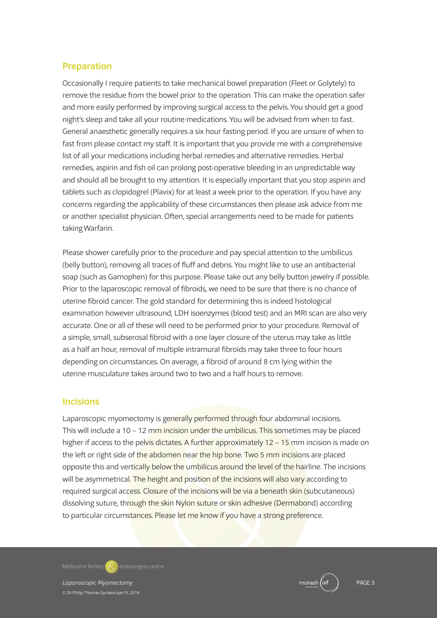## **Preparation**

Occasionally I require patients to take mechanical bowel preparation (Fleet or Golytely) to remove the residue from the bowel prior to the operation. This can make the operation safer and more easily performed by improving surgical access to the pelvis. You should get a good night's sleep and take all your routine medications. You will be advised from when to fast. General anaesthetic generally requires a six hour fasting period. If you are unsure of when to fast from please contact my staff. It is important that you provide me with a comprehensive list of all your medications including herbal remedies and alternative remedies. Herbal remedies, aspirin and fish oil can prolong post-operative bleeding in an unpredictable way and should all be brought to my attention. It is especially important that you stop aspirin and tablets such as clopidogrel (Plavix) for at least a week prior to the operation. If you have any concerns regarding the applicability of these circumstances then please ask advice from me or another specialist physician. Often, special arrangements need to be made for patients takingWarfarin.

Please shower carefully prior to the procedure and pay special attention to the umbilicus (belly button), removing all traces of fluff and debris. You might like to use an antibacterial soap (such as Gamophen) for this purpose. Please take out any belly button jewelry if possible. Prior to the laparoscopic removal of fibroids, we need to be sure that there is no chance of uterine fibroid cancer. The gold standard for determining this is indeed histological examination however ultrasound, LDH isoenzymes (blood test) and an MRI scan are also very accurate. One or all of these will need to be performed prior to your procedure. Removal of a simple, small, subserosal fibroid with a one layer closure of the uterus may take as little as a half an hour, removal of multiple intramural fibroids may take three to four hours depending on circumstances. On average, a fibroid of around 8 cm lying within the uterine musculature takes around two to two and a half hours to remove.

#### **Incisions**

Laparoscopic myomectomy is generally performed through four abdominal incisions. This will include a 10 – 12 mm incision under the umbilicus. This sometimes may be placed higher if access to the pelvis dictates. A further approximately 12 – 15 mm incision is made on the left or right side of the abdomen near the hip bone. Two 5 mm incisions are placed opposite this and vertically below the umbilicus around the level of the hairline. The incisions will be asymmetrical. The height and position of the incisions will also vary according to required surgical access. Closure of the incisions will be via a beneath skin (subcutaneous) dissolving suture, through the skin Nylon suture or skin adhesive (Dermabond) according to particular circumstances. Please let me know if you have a strong preference.

**Melbourne fertility endosurgery centre**

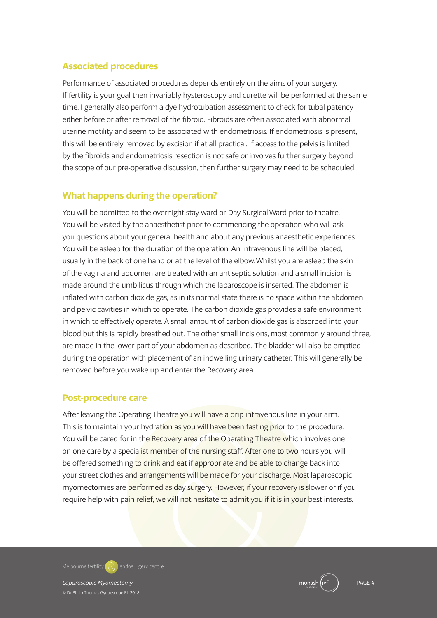# **Associated procedures**

Performance of associated procedures depends entirely on the aims of your surgery. If fertility is your goal then invariably hysteroscopy and curette will be performed at the same time. I generally also perform a dye hydrotubation assessment to check for tubal patency either before or after removal of the fibroid. Fibroids are often associated with abnormal uterine motility and seem to be associated with endometriosis. If endometriosis is present, this will be entirely removed by excision if at all practical. If access to the pelvis is limited by the fibroids and endometriosis resection is not safe or involves further surgery beyond the scope of our pre-operative discussion, then further surgery may need to be scheduled.

## **What happens during the operation?**

You will be admitted to the overnight stay ward or Day Surgical Ward prior to theatre. You will be visited by the anaesthetist prior to commencing the operation who will ask you questions about your general health and about any previous anaesthetic experiences. You will be asleep for the duration of the operation. An intravenous line will be placed, usually in the back of one hand or at the level of the elbow.Whilst you are asleep the skin of the vagina and abdomen are treated with an antiseptic solution and a small incision is made around the umbilicus through which the laparoscope is inserted. The abdomen is inflated with carbon dioxide gas, as in its normal state there is no space within the abdomen and pelvic cavities in which to operate. The carbon dioxide gas provides a safe environment in which to effectively operate. A small amount of carbon dioxide gas is absorbed into your blood but this is rapidly breathed out. The other small incisions, most commonly around three, are made in the lower part of your abdomen as described. The bladder will also be emptied during the operation with placement of an indwelling urinary catheter. This will generally be removed before you wake up and enter the Recovery area.

## **Post-procedure care**

After leaving the Operating Theatre you will have a drip intravenous line in your arm. This is to maintain your hydration as you will have been fasting prior to the procedure. You will be cared for in the Recovery area of the Operating Theatre which involves one on one care by a specialist member of the nursing staff. After one to two hours you will be offered something to drink and eat if appropriate and be able to change back into your street clothes and arrangements will be made for your discharge. Most laparoscopic myomectomies are performed as day surgery. However, if your recovery is slower or if you require help with pain relief, we will not hesitate to admit you if it is in your best interests.

**Melbourne fertility endosurgery centre**

*Laparoscopic Myomectomy* PAGE 4

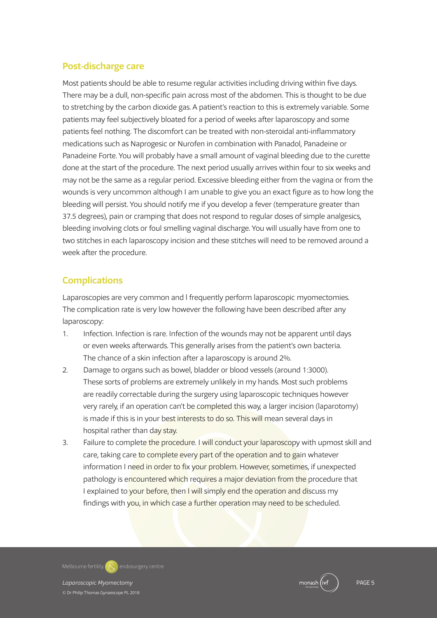# **Post-discharge care**

Most patients should be able to resume regular activities including driving within five days. There may be a dull, non-specific pain across most of the abdomen. This is thought to be due to stretching by the carbon dioxide gas. A patient's reaction to this is extremely variable. Some patients may feel subjectively bloated for a period of weeks after laparoscopy and some patients feel nothing. The discomfort can be treated with non-steroidal anti-inflammatory medications such as Naprogesic or Nurofen in combination with Panadol, Panadeine or Panadeine Forte. You will probably have a small amount of vaginal bleeding due to the curette done at the start of the procedure. The next period usually arrives within four to six weeks and may not be the same as a regular period. Excessive bleeding either from the vagina or from the wounds is very uncommon although I am unable to give you an exact figure as to how long the bleeding will persist. You should notify me if you develop a fever (temperature greater than 37.5 degrees), pain or cramping that does not respond to regular doses of simple analgesics, bleeding involving clots or foul smelling vaginal discharge. You will usually have from one to two stitches in each laparoscopy incision and these stitches will need to be removed around a week after the procedure.

# **Complications**

Laparoscopies are very common and l frequently perform laparoscopic myomectomies. The complication rate is very low however the following have been described after any laparoscopy:

- 1. Infection. Infection is rare. Infection of the wounds may not be apparent until days or even weeks afterwards. This generally arises from the patient's own bacteria. The chance of a skin infection after a laparoscopy is around 2%.
- 2. Damage to organs such as bowel, bladder or blood vessels (around 1:3000). These sorts of problems are extremely unlikely in my hands. Most such problems are readily correctable during the surgery using laparoscopic techniques however very rarely, if an operation can't be completed this way, a larger incision (laparotomy) is made if this is in your best interests to do so. This will mean several days in hospital rather than day stay.
- 3. Failure to complete the procedure. I will conduct your laparoscopy with upmost skill and care, taking care to complete every part of the operation and to gain whatever information I need in order to fix your problem. However, sometimes, if unexpected pathology is encountered which requires a major deviation from the procedure that I explained to your before, then I will simply end the operation and discuss my findings with you, in which case a further operation may need to be scheduled.

**Melbourne fertility endosurgery centre**